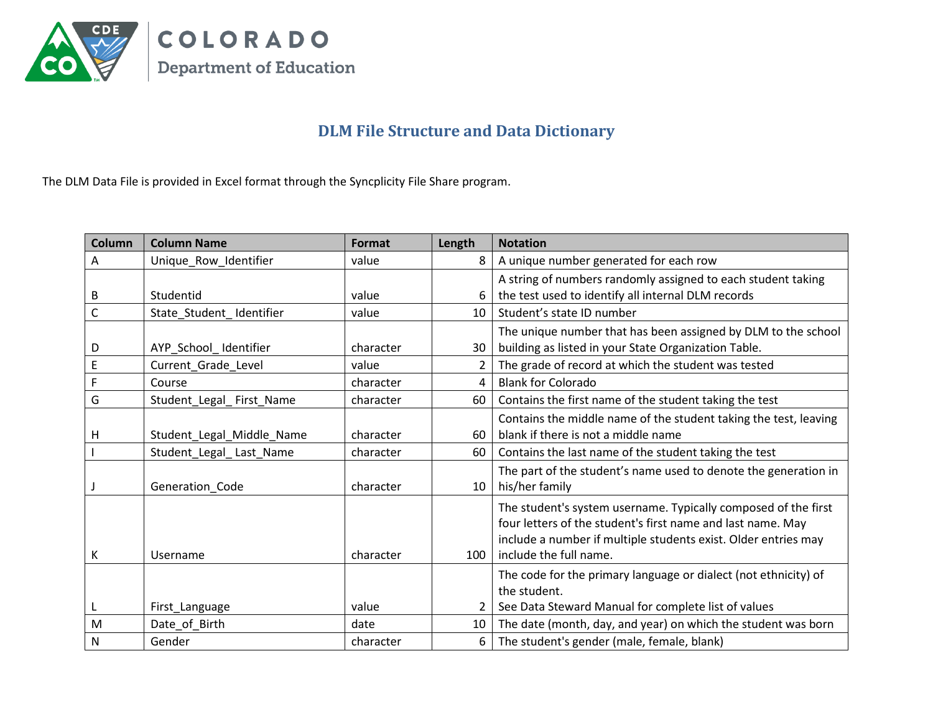

## **DLM File Structure and Data Dictionary**

The DLM Data File is provided in Excel format through the Syncplicity File Share program.

| Column       | <b>Column Name</b>        | Format    | Length          | <b>Notation</b>                                                  |
|--------------|---------------------------|-----------|-----------------|------------------------------------------------------------------|
| A            | Unique_Row_Identifier     | value     | 8               | A unique number generated for each row                           |
|              |                           |           |                 | A string of numbers randomly assigned to each student taking     |
| В            | Studentid                 | value     |                 | the test used to identify all internal DLM records               |
| $\mathsf{C}$ | State_Student_Identifier  | value     | 10 <sup>1</sup> | Student's state ID number                                        |
|              |                           |           |                 | The unique number that has been assigned by DLM to the school    |
| D            | AYP School Identifier     | character | 30              | building as listed in your State Organization Table.             |
| $\mathsf E$  | Current_Grade_Level       | value     | 2               | The grade of record at which the student was tested              |
| F            | Course                    | character | 4               | <b>Blank for Colorado</b>                                        |
| G            | Student_Legal_First_Name  | character | 60              | Contains the first name of the student taking the test           |
|              |                           |           |                 | Contains the middle name of the student taking the test, leaving |
| H            | Student_Legal_Middle_Name | character | 60              | blank if there is not a middle name                              |
|              | Student_Legal_Last_Name   | character | 60              | Contains the last name of the student taking the test            |
|              |                           |           |                 | The part of the student's name used to denote the generation in  |
|              | Generation Code           | character | $10-1$          | his/her family                                                   |
|              |                           |           |                 | The student's system username. Typically composed of the first   |
|              |                           |           |                 | four letters of the student's first name and last name. May      |
|              |                           |           |                 | include a number if multiple students exist. Older entries may   |
| К            | Username                  | character | 100             | include the full name.                                           |
|              |                           |           |                 | The code for the primary language or dialect (not ethnicity) of  |
|              |                           |           |                 | the student.                                                     |
|              | First_Language            | value     |                 | See Data Steward Manual for complete list of values              |
| M            | Date_of_Birth             | date      | 10              | The date (month, day, and year) on which the student was born    |
| $\mathsf{N}$ | Gender                    | character | 6               | The student's gender (male, female, blank)                       |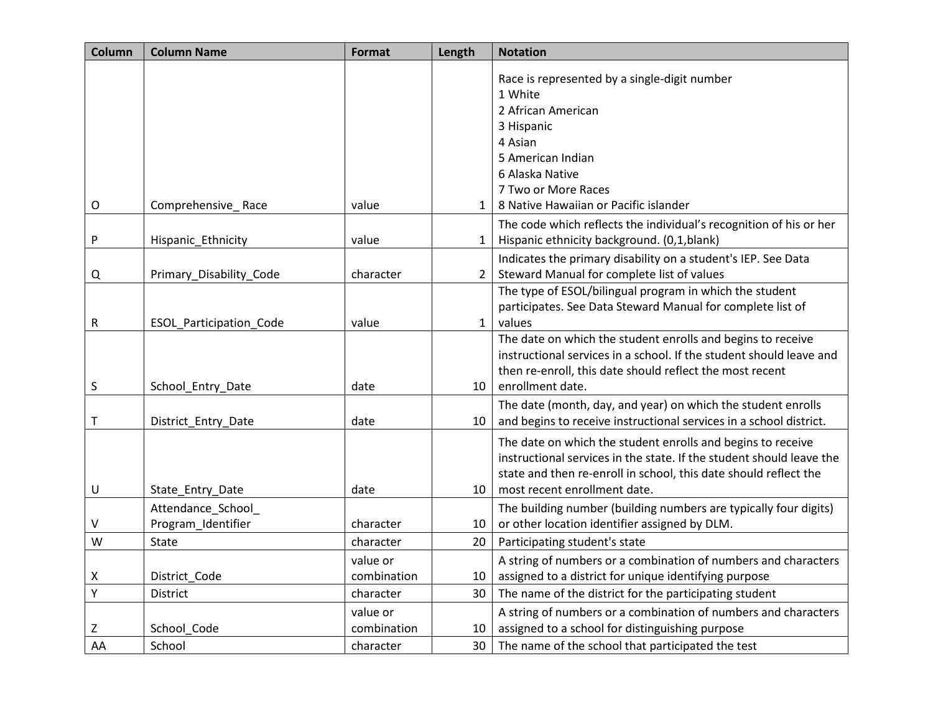| Column      | <b>Column Name</b>      | Format      | Length       | <b>Notation</b>                                                      |
|-------------|-------------------------|-------------|--------------|----------------------------------------------------------------------|
|             |                         |             |              | Race is represented by a single-digit number                         |
|             |                         |             |              | 1 White                                                              |
|             |                         |             |              | 2 African American                                                   |
|             |                         |             |              | 3 Hispanic                                                           |
|             |                         |             |              | 4 Asian                                                              |
|             |                         |             |              | 5 American Indian                                                    |
|             |                         |             |              | 6 Alaska Native                                                      |
|             |                         |             |              | 7 Two or More Races                                                  |
| $\circ$     | Comprehensive_Race      | value       | 1            | 8 Native Hawaiian or Pacific islander                                |
|             |                         |             |              | The code which reflects the individual's recognition of his or her   |
| P           | Hispanic_Ethnicity      | value       | $\mathbf{1}$ | Hispanic ethnicity background. (0,1,blank)                           |
|             |                         |             |              | Indicates the primary disability on a student's IEP. See Data        |
| Q           | Primary_Disability_Code | character   | 2            | Steward Manual for complete list of values                           |
|             |                         |             |              | The type of ESOL/bilingual program in which the student              |
|             |                         |             |              | participates. See Data Steward Manual for complete list of           |
| R           | ESOL_Participation_Code | value       | 1            | values                                                               |
|             |                         |             |              | The date on which the student enrolls and begins to receive          |
|             |                         |             |              | instructional services in a school. If the student should leave and  |
|             |                         |             |              | then re-enroll, this date should reflect the most recent             |
| S           | School Entry Date       | date        | 10           | enrollment date.                                                     |
|             |                         |             |              | The date (month, day, and year) on which the student enrolls         |
| $\mathsf T$ | District_Entry_Date     | date        | 10           | and begins to receive instructional services in a school district.   |
|             |                         |             |              | The date on which the student enrolls and begins to receive          |
|             |                         |             |              | instructional services in the state. If the student should leave the |
|             |                         |             |              | state and then re-enroll in school, this date should reflect the     |
| U           | State_Entry_Date        | date        | 10           | most recent enrollment date.                                         |
|             | Attendance_School_      |             |              | The building number (building numbers are typically four digits)     |
| V           | Program_Identifier      | character   | 10           | or other location identifier assigned by DLM.                        |
| W           | State                   | character   | 20           | Participating student's state                                        |
|             |                         | value or    |              | A string of numbers or a combination of numbers and characters       |
| x           | District_Code           | combination | 10           | assigned to a district for unique identifying purpose                |
| Υ           | District                | character   | 30           | The name of the district for the participating student               |
|             |                         | value or    |              | A string of numbers or a combination of numbers and characters       |
| Z           | School_Code             | combination | 10           | assigned to a school for distinguishing purpose                      |
| AA          | School                  | character   | 30           | The name of the school that participated the test                    |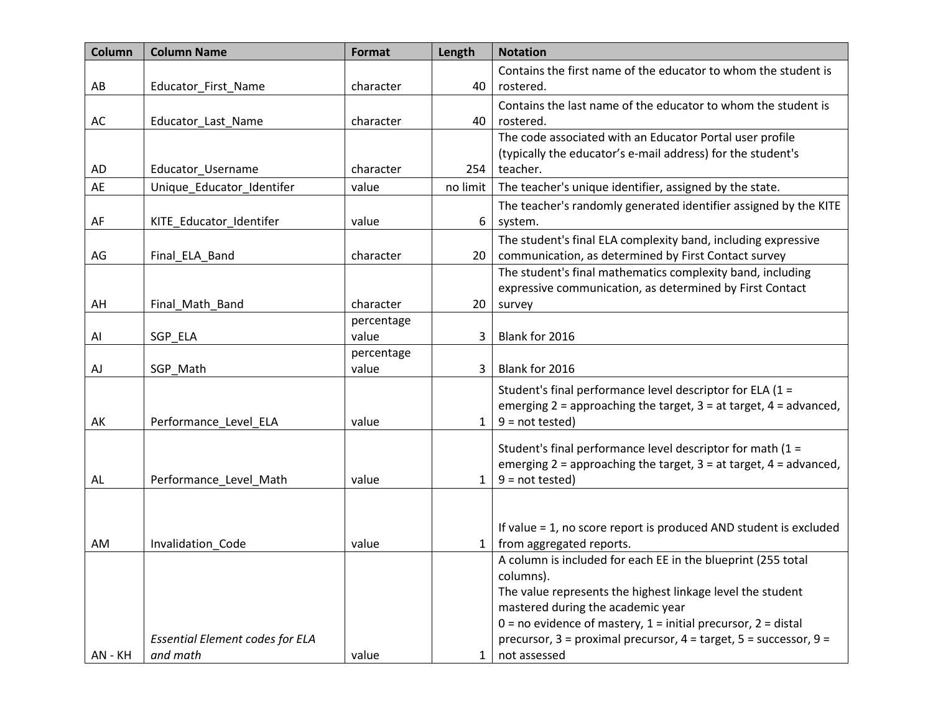| Column<br><b>Column Name</b>                               | Format     | Length          | <b>Notation</b>                                                                                                                       |
|------------------------------------------------------------|------------|-----------------|---------------------------------------------------------------------------------------------------------------------------------------|
|                                                            |            |                 | Contains the first name of the educator to whom the student is                                                                        |
| AB<br>Educator First Name                                  | character  | 40              | rostered.                                                                                                                             |
|                                                            |            |                 | Contains the last name of the educator to whom the student is                                                                         |
| AC<br>Educator_Last_Name                                   | character  | 40              | rostered.                                                                                                                             |
|                                                            |            |                 | The code associated with an Educator Portal user profile                                                                              |
|                                                            |            |                 | (typically the educator's e-mail address) for the student's                                                                           |
| AD<br>Educator_Username<br>AE<br>Unique Educator Identifer | character  | 254<br>no limit | teacher.                                                                                                                              |
|                                                            | value      |                 | The teacher's unique identifier, assigned by the state.                                                                               |
|                                                            |            |                 | The teacher's randomly generated identifier assigned by the KITE                                                                      |
| AF<br>KITE_Educator_Identifer                              | value      | 6               | system.                                                                                                                               |
|                                                            |            |                 | The student's final ELA complexity band, including expressive                                                                         |
| AG<br>Final ELA Band                                       | character  | 20              | communication, as determined by First Contact survey<br>The student's final mathematics complexity band, including                    |
|                                                            |            |                 | expressive communication, as determined by First Contact                                                                              |
| AH<br>Final_Math_Band                                      | character  | 20              | survey                                                                                                                                |
|                                                            | percentage |                 |                                                                                                                                       |
| SGP_ELA<br>Al                                              | value      | 3               | Blank for 2016                                                                                                                        |
|                                                            | percentage |                 |                                                                                                                                       |
| SGP Math<br>AJ                                             | value      | 3               | Blank for 2016                                                                                                                        |
|                                                            |            |                 | Student's final performance level descriptor for ELA (1 =                                                                             |
|                                                            |            |                 | emerging $2 =$ approaching the target, $3 =$ at target, $4 =$ advanced,                                                               |
| Performance_Level_ELA<br>AK                                | value      | $\mathbf{1}$    | $9 = not tested$                                                                                                                      |
|                                                            |            |                 |                                                                                                                                       |
|                                                            |            |                 | Student's final performance level descriptor for math (1 =<br>emerging $2 =$ approaching the target, $3 =$ at target, $4 =$ advanced, |
| Performance_Level_Math<br>AL                               | value      | $\mathbf{1}$    | $9 = not tested$                                                                                                                      |
|                                                            |            |                 |                                                                                                                                       |
|                                                            |            |                 |                                                                                                                                       |
|                                                            |            |                 | If value = 1, no score report is produced AND student is excluded                                                                     |
| AM<br>Invalidation Code                                    | value      | 1               | from aggregated reports.                                                                                                              |
|                                                            |            |                 | A column is included for each EE in the blueprint (255 total                                                                          |
|                                                            |            |                 | columns).                                                                                                                             |
|                                                            |            |                 | The value represents the highest linkage level the student                                                                            |
|                                                            |            |                 | mastered during the academic year<br>$0 =$ no evidence of mastery, $1 =$ initial precursor, $2 =$ distal                              |
| <b>Essential Element codes for ELA</b>                     |            |                 | precursor, $3 =$ proximal precursor, $4 =$ target, $5 =$ successor, $9 =$                                                             |
| and math<br>AN - KH                                        | value      | 1               | not assessed                                                                                                                          |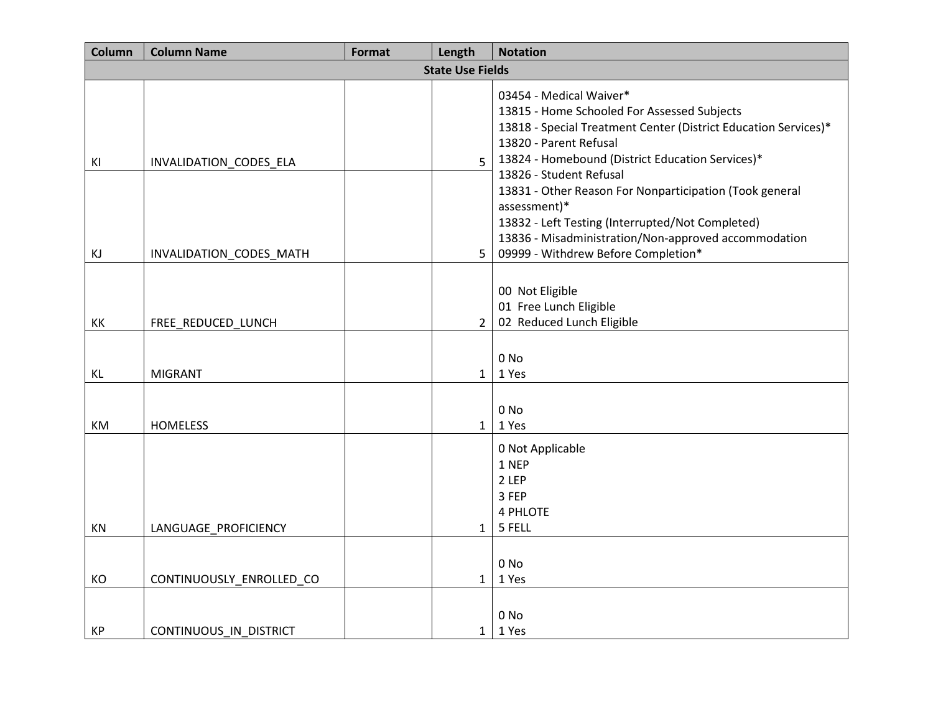| Column   | <b>Column Name</b>                                | Format | Length                           | <b>Notation</b>                                                                                                                                                                                                                                                                                                                                                                                                                                                                  |  |
|----------|---------------------------------------------------|--------|----------------------------------|----------------------------------------------------------------------------------------------------------------------------------------------------------------------------------------------------------------------------------------------------------------------------------------------------------------------------------------------------------------------------------------------------------------------------------------------------------------------------------|--|
|          | <b>State Use Fields</b>                           |        |                                  |                                                                                                                                                                                                                                                                                                                                                                                                                                                                                  |  |
| KI<br>KJ | INVALIDATION_CODES_ELA<br>INVALIDATION_CODES_MATH |        | 5 <sup>1</sup><br>5 <sub>1</sub> | 03454 - Medical Waiver*<br>13815 - Home Schooled For Assessed Subjects<br>13818 - Special Treatment Center (District Education Services)*<br>13820 - Parent Refusal<br>13824 - Homebound (District Education Services)*<br>13826 - Student Refusal<br>13831 - Other Reason For Nonparticipation (Took general<br>assessment)*<br>13832 - Left Testing (Interrupted/Not Completed)<br>13836 - Misadministration/Non-approved accommodation<br>09999 - Withdrew Before Completion* |  |
| KK       | FREE_REDUCED_LUNCH                                |        | $\overline{2}$                   | 00 Not Eligible<br>01 Free Lunch Eligible<br>02 Reduced Lunch Eligible                                                                                                                                                                                                                                                                                                                                                                                                           |  |
| KL       | <b>MIGRANT</b>                                    |        | $\mathbf{1}$                     | 0 <sub>No</sub><br>1 Yes                                                                                                                                                                                                                                                                                                                                                                                                                                                         |  |
| KM       | <b>HOMELESS</b>                                   |        | 1                                | 0 <sub>No</sub><br>1 Yes                                                                                                                                                                                                                                                                                                                                                                                                                                                         |  |
| KN       | LANGUAGE_PROFICIENCY                              |        | 1                                | 0 Not Applicable<br>1 NEP<br>2 LEP<br>3 FEP<br>4 PHLOTE<br>5 FELL                                                                                                                                                                                                                                                                                                                                                                                                                |  |
| KO       | CONTINUOUSLY_ENROLLED_CO                          |        | 1                                | 0 <sub>No</sub><br>1 Yes                                                                                                                                                                                                                                                                                                                                                                                                                                                         |  |
| KP       | CONTINUOUS IN DISTRICT                            |        | $1 \mid$                         | 0 <sub>No</sub><br>1 Yes                                                                                                                                                                                                                                                                                                                                                                                                                                                         |  |